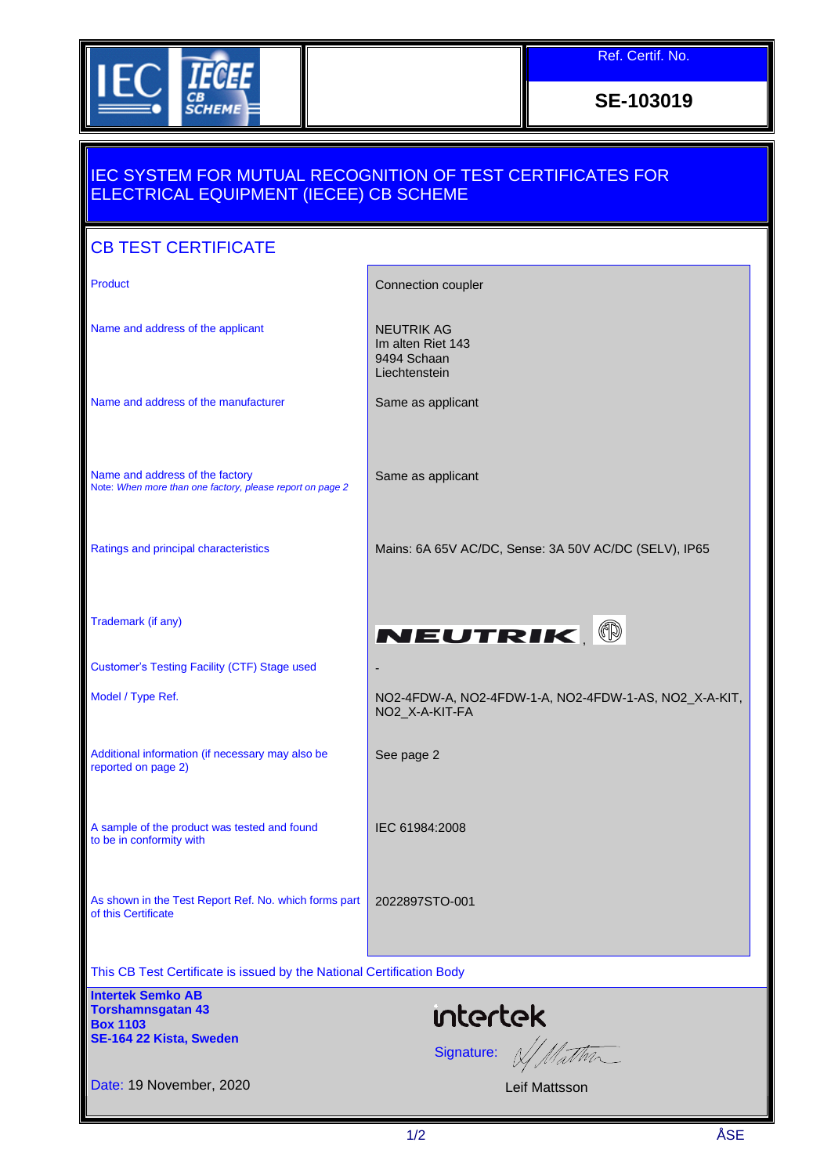

Ref. Certif. No.

**SE-103019**

## IEC SYSTEM FOR MUTUAL RECOGNITION OF TEST CERTIFICATES FOR ELECTRICAL EQUIPMENT (IECEE) CB SCHEME

| <b>CB TEST CERTIFICATE</b>                                                                         |                                                                         |
|----------------------------------------------------------------------------------------------------|-------------------------------------------------------------------------|
| <b>Product</b>                                                                                     | Connection coupler                                                      |
|                                                                                                    |                                                                         |
| Name and address of the applicant                                                                  | <b>NEUTRIK AG</b><br>Im alten Riet 143<br>9494 Schaan<br>Liechtenstein  |
| Name and address of the manufacturer                                                               | Same as applicant                                                       |
| Name and address of the factory<br>Note: When more than one factory, please report on page 2       | Same as applicant                                                       |
| Ratings and principal characteristics                                                              | Mains: 6A 65V AC/DC, Sense: 3A 50V AC/DC (SELV), IP65                   |
| Trademark (if any)                                                                                 | NEUTRIK   ®                                                             |
| <b>Customer's Testing Facility (CTF) Stage used</b>                                                |                                                                         |
| Model / Type Ref.                                                                                  | NO2-4FDW-A, NO2-4FDW-1-A, NO2-4FDW-1-AS, NO2_X-A-KIT,<br>NO2_X-A-KIT-FA |
| Additional information (if necessary may also be<br>reported on page 2)                            | See page 2                                                              |
| A sample of the product was tested and found<br>to be in conformity with                           | IEC 61984:2008                                                          |
| As shown in the Test Report Ref. No. which forms part<br>of this Certificate                       | 2022897STO-001                                                          |
| This CB Test Certificate is issued by the National Certification Body                              |                                                                         |
| <b>Intertek Semko AB</b><br><b>Torshamnsgatan 43</b><br><b>Box 1103</b><br>SE-164 22 Kista, Sweden | <b>intertek</b><br>Signature: V/Mathr                                   |
| Date: 19 November, 2020                                                                            | Leif Mattsson                                                           |